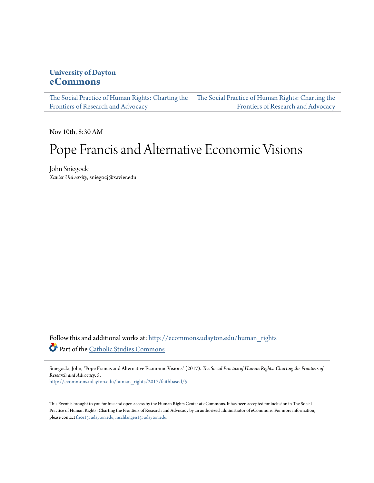## **University of Dayton [eCommons](http://ecommons.udayton.edu?utm_source=ecommons.udayton.edu%2Fhuman_rights%2F2017%2Ffaithbased%2F5&utm_medium=PDF&utm_campaign=PDFCoverPages)**

[The Social Practice of Human Rights: Charting the](http://ecommons.udayton.edu/human_rights?utm_source=ecommons.udayton.edu%2Fhuman_rights%2F2017%2Ffaithbased%2F5&utm_medium=PDF&utm_campaign=PDFCoverPages) [The Social Practice of Human Rights: Charting the](http://ecommons.udayton.edu/human_rights/2017?utm_source=ecommons.udayton.edu%2Fhuman_rights%2F2017%2Ffaithbased%2F5&utm_medium=PDF&utm_campaign=PDFCoverPages) [Frontiers of Research and Advocacy](http://ecommons.udayton.edu/human_rights?utm_source=ecommons.udayton.edu%2Fhuman_rights%2F2017%2Ffaithbased%2F5&utm_medium=PDF&utm_campaign=PDFCoverPages) [Frontiers of Research and Advocacy](http://ecommons.udayton.edu/human_rights/2017?utm_source=ecommons.udayton.edu%2Fhuman_rights%2F2017%2Ffaithbased%2F5&utm_medium=PDF&utm_campaign=PDFCoverPages)

Nov 10th, 8:30 AM

## Pope Francis and Alternative Economic Visions

John Sniegocki *Xavier University*, sniegocj@xavier.edu

Follow this and additional works at: [http://ecommons.udayton.edu/human\\_rights](http://ecommons.udayton.edu/human_rights?utm_source=ecommons.udayton.edu%2Fhuman_rights%2F2017%2Ffaithbased%2F5&utm_medium=PDF&utm_campaign=PDFCoverPages) Part of the [Catholic Studies Commons](http://network.bepress.com/hgg/discipline/1294?utm_source=ecommons.udayton.edu%2Fhuman_rights%2F2017%2Ffaithbased%2F5&utm_medium=PDF&utm_campaign=PDFCoverPages)

Sniegocki, John, "Pope Francis and Alternative Economic Visions" (2017). *The Social Practice of Human Rights: Charting the Frontiers of Research and Advocacy*. 5.

[http://ecommons.udayton.edu/human\\_rights/2017/faithbased/5](http://ecommons.udayton.edu/human_rights/2017/faithbased/5?utm_source=ecommons.udayton.edu%2Fhuman_rights%2F2017%2Ffaithbased%2F5&utm_medium=PDF&utm_campaign=PDFCoverPages)

This Event is brought to you for free and open access by the Human Rights Center at eCommons. It has been accepted for inclusion in The Social Practice of Human Rights: Charting the Frontiers of Research and Advocacy by an authorized administrator of eCommons. For more information, please contact [frice1@udayton.edu, mschlangen1@udayton.edu.](mailto:frice1@udayton.edu,%20mschlangen1@udayton.edu)